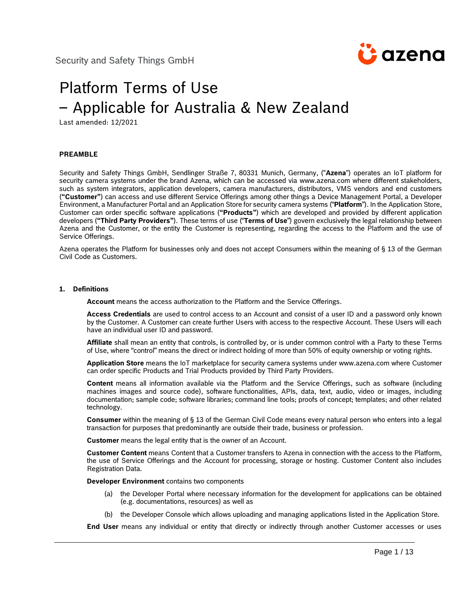

# Platform Terms of Use – Applicable for Australia & New Zealand

Last amended: 12/2021

#### **PREAMBLE**

Security and Safety Things GmbH, Sendlinger Straße 7, 80331 Munich, Germany, ("**Azena**") operates an IoT platform for security camera systems under the brand Azena, which can be accessed via www.azena.com where different stakeholders, such as system integrators, application developers, camera manufacturers, distributors, VMS vendors and end customers (**"Customer"**) can access and use different Service Offerings among other things a Device Management Portal, a Developer Environment, a Manufacturer Portal and an Application Store for security camera systems ("**Platform**"). In the Application Store, Customer can order specific software applications (**"Products"**) which are developed and provided by different application developers (**"Third Party Providers"**). These terms of use ("**Terms of Use**") govern exclusively the legal relationship between Azena and the Customer, or the entity the Customer is representing, regarding the access to the Platform and the use of Service Offerings.

Azena operates the Platform for businesses only and does not accept Consumers within the meaning of § 13 of the German Civil Code as Customers.

# **1. Definitions**

**Account** means the access authorization to the Platform and the Service Offerings.

**Access Credentials** are used to control access to an Account and consist of a user ID and a password only known by the Customer. A Customer can create further Users with access to the respective Account. These Users will each have an individual user ID and password.

**Affiliate** shall mean an entity that controls, is controlled by, or is under common control with a Party to these Terms of Use, where "control" means the direct or indirect holding of more than 50% of equity ownership or voting rights.

**Application Store** means the IoT marketplace for security camera systems under www.azena.com where Customer can order specific Products and Trial Products provided by Third Party Providers.

**Content** means all information available via the Platform and the Service Offerings, such as software (including machines images and source code), software functionalities, APIs, data, text, audio, video or images, including documentation; sample code; software libraries; command line tools; proofs of concept; templates; and other related technology.

**Consumer** within the meaning of § 13 of the German Civil Code means every natural person who enters into a legal transaction for purposes that predominantly are outside their trade, business or profession.

**Customer** means the legal entity that is the owner of an Account.

**Customer Content** means Content that a Customer transfers to Azena in connection with the access to the Platform, the use of Service Offerings and the Account for processing, storage or hosting. Customer Content also includes Registration Data.

**Developer Environment** contains two components

- (a) the Developer Portal where necessary information for the development for applications can be obtained (e.g. documentations, resources) as well as
- (b) the Developer Console which allows uploading and managing applications listed in the Application Store.

**End User** means any individual or entity that directly or indirectly through another Customer accesses or uses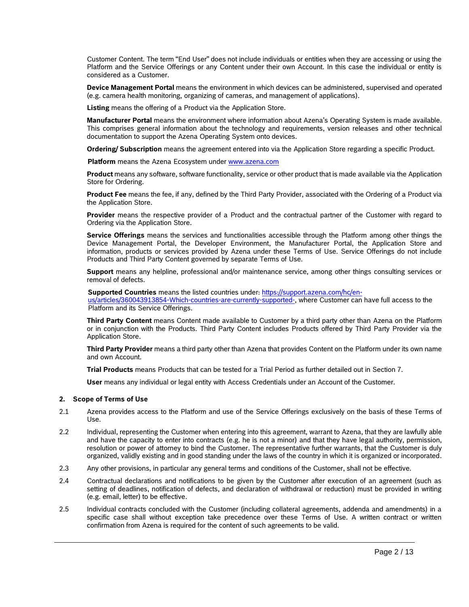Customer Content. The term "End User" does not include individuals or entities when they are accessing or using the Platform and the Service Offerings or any Content under their own Account. In this case the individual or entity is considered as a Customer.

**Device Management Portal** means the environment in which devices can be administered, supervised and operated (e.g. camera health monitoring, organizing of cameras, and management of applications).

**Listing** means the offering of a Product via the Application Store.

**Manufacturer Portal** means the environment where information about Azena's Operating System is made available. This comprises general information about the technology and requirements, version releases and other technical documentation to support the Azena Operating System onto devices.

**Ordering/ Subscription** means the agreement entered into via the Application Store regarding a specific Product.

**Platform** means the Azena Ecosystem under [www.azena.com](file://///grb1fs01/commcls$/Bayer/SAST/App%20Store/Nutzungsbedingungen/Revision%20November%202021/www.azena.com)

**Product** means any software, software functionality, service or other product that is made available via the Application Store for Ordering.

**Product Fee** means the fee, if any, defined by the Third Party Provider, associated with the Ordering of a Product via the Application Store.

**Provider** means the respective provider of a Product and the contractual partner of the Customer with regard to Ordering via the Application Store.

**Service Offerings** means the services and functionalities accessible through the Platform among other things the Device Management Portal, the Developer Environment, the Manufacturer Portal, the Application Store and information, products or services provided by Azena under these Terms of Use. Service Offerings do not include Products and Third Party Content governed by separate Terms of Use.

**Support** means any helpline, professional and/or maintenance service, among other things consulting services or removal of defects.

**Supported Countries** means the listed countries under: [https://support.azena.com/hc/en-](https://support.azena.com/hc/en-us/articles/360043913854-Which-countries-are-currently-supported-)

[us/articles/360043913854-Which-countries-are-currently-supported-,](https://support.azena.com/hc/en-us/articles/360043913854-Which-countries-are-currently-supported-) where Customer can have full access to the Platform and its Service Offerings.

**Third Party Content** means Content made available to Customer by a third party other than Azena on the Platform or in conjunction with the Products. Third Party Content includes Products offered by Third Party Provider via the Application Store.

**Third Party Provider** means a third party other than Azena that provides Content on the Platform under its own name and own Account.

**Trial Products** means Products that can be tested for a Trial Period as further detailed out in Section 7.

**User** means any individual or legal entity with Access Credentials under an Account of the Customer.

#### **2. Scope of Terms of Use**

- 2.1 Azena provides access to the Platform and use of the Service Offerings exclusively on the basis of these Terms of Use.
- 2.2 Individual, representing the Customer when entering into this agreement, warrant to Azena, that they are lawfully able and have the capacity to enter into contracts (e.g. he is not a minor) and that they have legal authority, permission, resolution or power of attorney to bind the Customer. The representative further warrants, that the Customer is duly organized, validly existing and in good standing under the laws of the country in which it is organized or incorporated.
- 2.3 Any other provisions, in particular any general terms and conditions of the Customer, shall not be effective.
- 2.4 Contractual declarations and notifications to be given by the Customer after execution of an agreement (such as setting of deadlines, notification of defects, and declaration of withdrawal or reduction) must be provided in writing (e.g. email, letter) to be effective.
- 2.5 Individual contracts concluded with the Customer (including collateral agreements, addenda and amendments) in a specific case shall without exception take precedence over these Terms of Use. A written contract or written confirmation from Azena is required for the content of such agreements to be valid.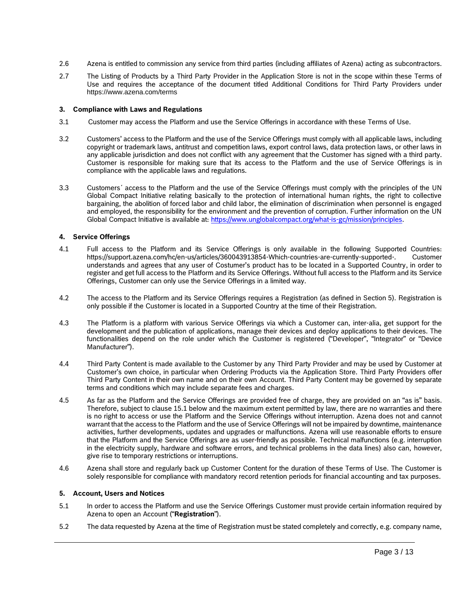- 2.6 Azena is entitled to commission any service from third parties (including affiliates of Azena) acting as subcontractors.
- 2.7 The Listing of Products by a Third Party Provider in the Application Store is not in the scope within these Terms of Use and requires the acceptance of the document titled Additional Conditions for Third Party Providers under https://www.azena.com/terms

# **3. Compliance with Laws and Regulations**

- 3.1 Customer may access the Platform and use the Service Offerings in accordance with these Terms of Use.
- 3.2 Customers' access to the Platform and the use of the Service Offerings must comply with all applicable laws, including copyright or trademark laws, antitrust and competition laws, export control laws, data protection laws, or other laws in any applicable jurisdiction and does not conflict with any agreement that the Customer has signed with a third party. Customer is responsible for making sure that its access to the Platform and the use of Service Offerings is in compliance with the applicable laws and regulations.
- 3.3 Customers´ access to the Platform and the use of the Service Offerings must comply with the principles of the UN Global Compact Initiative relating basically to the protection of international human rights, the right to collective bargaining, the abolition of forced labor and child labor, the elimination of discrimination when personnel is engaged and employed, the responsibility for the environment and the prevention of corruption. Further information on the UN Global Compact Initiative is available at: [https://www.unglobalcompact.org/what-is-gc/mission/principles.](https://www.unglobalcompact.org/what-is-gc/mission/principles)

# **4. Service Offerings**

- 4.1 Full access to the Platform and its Service Offerings is only available in the following Supported Countries: https://support.azena.com/hc/en-us/articles/360043913854-Which-countries-are-currently-supported-. Customer understands and agrees that any user of Costumer's product has to be located in a Supported Country, in order to register and get full access to the Platform and its Service Offerings. Without full access to the Platform and its Service Offerings, Customer can only use the Service Offerings in a limited way.
- 4.2 The access to the Platform and its Service Offerings requires a Registration (as defined in Section 5). Registration is only possible if the Customer is located in a Supported Country at the time of their Registration.
- 4.3 The Platform is a platform with various Service Offerings via which a Customer can, inter-alia, get support for the development and the publication of applications, manage their devices and deploy applications to their devices. The functionalities depend on the role under which the Customer is registered ("Developer", "Integrator" or "Device Manufacturer").
- 4.4 Third Party Content is made available to the Customer by any Third Party Provider and may be used by Customer at Customer's own choice, in particular when Ordering Products via the Application Store. Third Party Providers offer Third Party Content in their own name and on their own Account. Third Party Content may be governed by separate terms and conditions which may include separate fees and charges.
- 4.5 As far as the Platform and the Service Offerings are provided free of charge, they are provided on an "as is" basis. Therefore, subject to clause 15.1 below and the maximum extent permitted by law, there are no warranties and there is no right to access or use the Platform and the Service Offerings without interruption. Azena does not and cannot warrant that the access to the Platform and the use of Service Offerings will not be impaired by downtime, maintenance activities, further developments, updates and upgrades or malfunctions. Azena will use reasonable efforts to ensure that the Platform and the Service Offerings are as user-friendly as possible. Technical malfunctions (e.g. interruption in the electricity supply, hardware and software errors, and technical problems in the data lines) also can, however, give rise to temporary restrictions or interruptions.
- <span id="page-2-0"></span>4.6 Azena shall store and regularly back up Customer Content for the duration of these Terms of Use. The Customer is solely responsible for compliance with mandatory record retention periods for financial accounting and tax purposes.

#### **5. Account, Users and Notices**

- 5.1 In order to access the Platform and use the Service Offerings Customer must provide certain information required by Azena to open an Account ("**Registration**").
- 5.2 The data requested by Azena at the time of Registration must be stated completely and correctly, e.g. company name,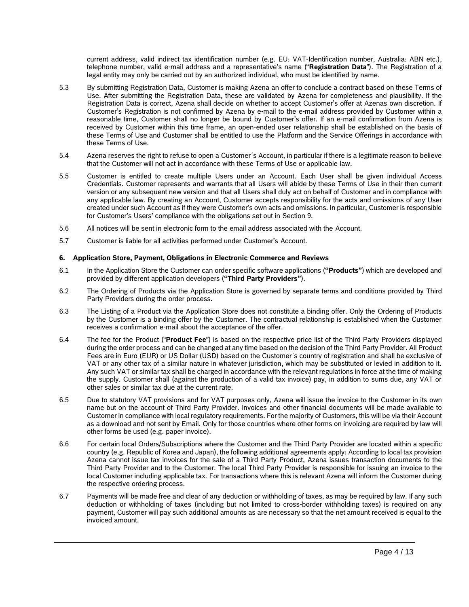current address, valid indirect tax identification number (e.g. EU: VAT-Identification number, Australia: ABN etc.), telephone number, valid e-mail address and a representative's name ("**Registration Data**"). The Registration of a legal entity may only be carried out by an authorized individual, who must be identified by name.

- 5.3 By submitting Registration Data, Customer is making Azena an offer to conclude a contract based on these Terms of Use. After submitting the Registration Data, these are validated by Azena for completeness and plausibility. If the Registration Data is correct, Azena shall decide on whether to accept Customer's offer at Azenas own discretion. If Customer's Registration is not confirmed by Azena by e-mail to the e-mail address provided by Customer within a reasonable time, Customer shall no longer be bound by Customer's offer. If an e-mail confirmation from Azena is received by Customer within this time frame, an open-ended user relationship shall be established on the basis of these Terms of Use and Customer shall be entitled to use the Platform and the Service Offerings in accordance with these Terms of Use.
- 5.4 Azena reserves the right to refuse to open a Customer´s Account, in particular if there is a legitimate reason to believe that the Customer will not act in accordance with these Terms of Use or applicable law.
- 5.5 Customer is entitled to create multiple Users under an Account. Each User shall be given individual Access Credentials. Customer represents and warrants that all Users will abide by these Terms of Use in their then current version or any subsequent new version and that all Users shall duly act on behalf of Customer and in compliance with any applicable law. By creating an Account, Customer accepts responsibility for the acts and omissions of any User created under such Account as if they were Customer's own acts and omissions. In particular, Customer is responsible for Customer's Users' compliance with the obligations set out in Section 9.
- 5.6 All notices will be sent in electronic form to the email address associated with the Account.
- 5.7 Customer is liable for all activities performed under Customer's Account.

#### **6. Application Store, Payment, Obligations in Electronic Commerce and Reviews**

- 6.1 In the Application Store the Customer can order specific software applications (**"Products"**) which are developed and provided by different application developers (**"Third Party Providers"**).
- 6.2 The Ordering of Products via the Application Store is governed by separate terms and conditions provided by Third Party Providers during the order process.
- 6.3 The Listing of a Product via the Application Store does not constitute a binding offer. Only the Ordering of Products by the Customer is a binding offer by the Customer. The contractual relationship is established when the Customer receives a confirmation e-mail about the acceptance of the offer.
- 6.4 The fee for the Product ("**Product Fee**") is based on the respective price list of the Third Party Providers displayed during the order process and can be changed at any time based on the decision of the Third Party Provider. All Product Fees are in Euro (EUR) or US Dollar (USD) based on the Customer´s country of registration and shall be exclusive of VAT or any other tax of a similar nature in whatever jurisdiction, which may be substituted or levied in addition to it. Any such VAT or similar tax shall be charged in accordance with the relevant regulations in force at the time of making the supply. Customer shall (against the production of a valid tax invoice) pay, in addition to sums due, any VAT or other sales or similar tax due at the current rate.
- 6.5 Due to statutory VAT provisions and for VAT purposes only, Azena will issue the invoice to the Customer in its own name but on the account of Third Party Provider. Invoices and other financial documents will be made available to Customer in compliance with local regulatory requirements. For the majority of Customers, this will be via their Account as a download and not sent by Email. Only for those countries where other forms on invoicing are required by law will other forms be used (e.g. paper invoice).
- 6.6 For certain local Orders/Subscriptions where the Customer and the Third Party Provider are located within a specific country (e.g. Republic of Korea and Japan), the following additional agreements apply: According to local tax provision Azena cannot issue tax invoices for the sale of a Third Party Product, Azena issues transaction documents to the Third Party Provider and to the Customer. The local Third Party Provider is responsible for issuing an invoice to the local Customer including applicable tax. For transactions where this is relevant Azena will inform the Customer during the respective ordering process.
- 6.7 Payments will be made free and clear of any deduction or withholding of taxes, as may be required by law. If any such deduction or withholding of taxes (including but not limited to cross-border withholding taxes) is required on any payment, Customer will pay such additional amounts as are necessary so that the net amount received is equal to the invoiced amount.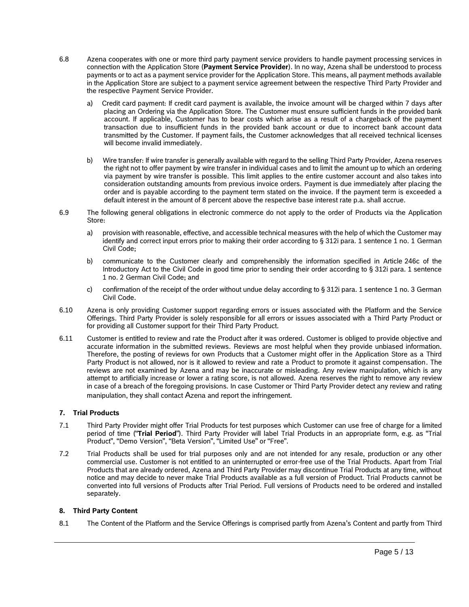- 6.8 Azena cooperates with one or more third party payment service providers to handle payment processing services in connection with the Application Store (**Payment Service Provider**). In no way, Azena shall be understood to process payments or to act as a payment service provider for the Application Store. This means, all payment methods available in the Application Store are subject to a payment service agreement between the respective Third Party Provider and the respective Payment Service Provider.
	- a) Credit card payment: If credit card payment is available, the invoice amount will be charged within 7 days after placing an Ordering via the Application Store. The Customer must ensure sufficient funds in the provided bank account. If applicable, Customer has to bear costs which arise as a result of a chargeback of the payment transaction due to insufficient funds in the provided bank account or due to incorrect bank account data transmitted by the Customer. If payment fails, the Customer acknowledges that all received technical licenses will become invalid immediately.
	- b) Wire transfer: If wire transfer is generally available with regard to the selling Third Party Provider, Azena reserves the right not to offer payment by wire transfer in individual cases and to limit the amount up to which an ordering via payment by wire transfer is possible. This limit applies to the entire customer account and also takes into consideration outstanding amounts from previous invoice orders. Payment is due immediately after placing the order and is payable according to the payment term stated on the invoice. If the payment term is exceeded a default interest in the amount of 8 percent above the respective base interest rate p.a. shall accrue.
- 6.9 The following general obligations in electronic commerce do not apply to the order of Products via the Application Store:
	- a) provision with reasonable, effective, and accessible technical measures with the help of which the Customer may identify and correct input errors prior to making their order according to § 312i para. 1 sentence 1 no. 1 German Civil Code;
	- b) communicate to the Customer clearly and comprehensibly the information specified in Article 246c of the Introductory Act to the Civil Code in good time prior to sending their order according to § 312i para. 1 sentence 1 no. 2 German Civil Code; and
	- c) confirmation of the receipt of the order without undue delay according to § 312i para. 1 sentence 1 no. 3 German Civil Code.
- 6.10 Azena is only providing Customer support regarding errors or issues associated with the Platform and the Service Offerings. Third Party Provider is solely responsible for all errors or issues associated with a Third Party Product or for providing all Customer support for their Third Party Product.
- 6.11 Customer is entitled to review and rate the Product after it was ordered. Customer is obliged to provide objective and accurate information in the submitted reviews. Reviews are most helpful when they provide unbiased information. Therefore, the posting of reviews for own Products that a Customer might offer in the Application Store as a Third Party Product is not allowed, nor is it allowed to review and rate a Product to promote it against compensation. The reviews are not examined by Azena and may be inaccurate or misleading. Any review manipulation, which is any attempt to artificially increase or lower a rating score, is not allowed. Azena reserves the right to remove any review in case of a breach of the foregoing provisions. In case Customer or Third Party Provider detect any review and rating manipulation, they shall contact Azena and report the infringement.

# **7. Trial Products**

- 7.1 Third Party Provider might offer Trial Products for test purposes which Customer can use free of charge for a limited period of time ("**Trial Period**"). Third Party Provider will label Trial Products in an appropriate form, e.g. as "Trial Product", "Demo Version", "Beta Version", "Limited Use" or "Free".
- 7.2 Trial Products shall be used for trial purposes only and are not intended for any resale, production or any other commercial use. Customer is not entitled to an uninterrupted or error-free use of the Trial Products. Apart from Trial Products that are already ordered, Azena and Third Party Provider may discontinue Trial Products at any time, without notice and may decide to never make Trial Products available as a full version of Product. Trial Products cannot be converted into full versions of Products after Trial Period. Full versions of Products need to be ordered and installed separately.

# **8. Third Party Content**

<span id="page-4-0"></span>8.1 The Content of the Platform and the Service Offerings is comprised partly from Azena's Content and partly from Third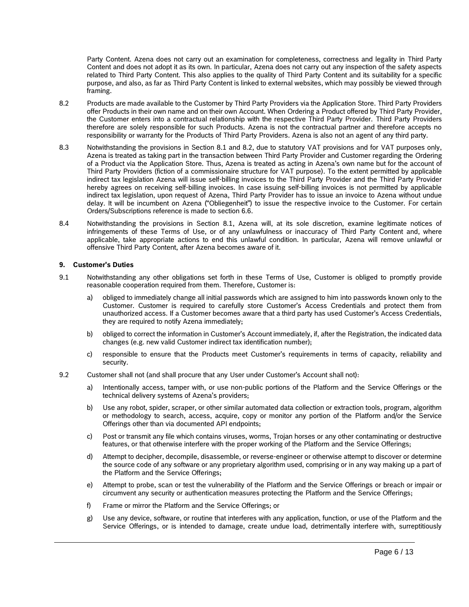Party Content. Azena does not carry out an examination for completeness, correctness and legality in Third Party Content and does not adopt it as its own. In particular, Azena does not carry out any inspection of the safety aspects related to Third Party Content. This also applies to the quality of Third Party Content and its suitability for a specific purpose, and also, as far as Third Party Content is linked to external websites, which may possibly be viewed through framing.

- <span id="page-5-0"></span>8.2 Products are made available to the Customer by Third Party Providers via the Application Store. Third Party Providers offer Products in their own name and on their own Account. When Ordering a Product offered by Third Party Provider, the Customer enters into a contractual relationship with the respective Third Party Provider. Third Party Providers therefore are solely responsible for such Products. Azena is not the contractual partner and therefore accepts no responsibility or warranty for the Products of Third Party Providers. Azena is also not an agent of any third party.
- 8.3 Notwithstanding the provisions in Section [8.1](#page-4-0) and [8.2,](#page-5-0) due to statutory VAT provisions and for VAT purposes only, Azena is treated as taking part in the transaction between Third Party Provider and Customer regarding the Ordering of a Product via the Application Store. Thus, Azena is treated as acting in Azena's own name but for the account of Third Party Providers (fiction of a commissionaire structure for VAT purpose). To the extent permitted by applicable indirect tax legislation Azena will issue self-billing invoices to the Third Party Provider and the Third Party Provider hereby agrees on receiving self-billing invoices. In case issuing self-billing invoices is not permitted by applicable indirect tax legislation, upon request of Azena, Third Party Provider has to issue an invoice to Azena without undue delay. It will be incumbent on Azena ("Obliegenheit") to issue the respective invoice to the Customer. For certain Orders/Subscriptions reference is made to section 6.6.
- 8.4 Notwithstanding the provisions in Section [8.1,](#page-4-0) Azena will, at its sole discretion, examine legitimate notices of infringements of these Terms of Use, or of any unlawfulness or inaccuracy of Third Party Content and, where applicable, take appropriate actions to end this unlawful condition. In particular, Azena will remove unlawful or offensive Third Party Content, after Azena becomes aware of it.

#### **9. Customer's Duties**

- 9.1 Notwithstanding any other obligations set forth in these Terms of Use, Customer is obliged to promptly provide reasonable cooperation required from them. Therefore, Customer is:
	- a) obliged to immediately change all initial passwords which are assigned to him into passwords known only to the Customer. Customer is required to carefully store Customer's Access Credentials and protect them from unauthorized access. If a Customer becomes aware that a third party has used Customer's Access Credentials, they are required to notify Azena immediately;
	- b) obliged to correct the information in Customer's Account immediately, if, after the Registration, the indicated data changes (e.g. new valid Customer indirect tax identification number);
	- c) responsible to ensure that the Products meet Customer's requirements in terms of capacity, reliability and security.
- 9.2 Customer shall not (and shall procure that any User under Customer's Account shall not):
	- a) Intentionally access, tamper with, or use non-public portions of the Platform and the Service Offerings or the technical delivery systems of Azena's providers;
	- b) Use any robot, spider, scraper, or other similar automated data collection or extraction tools, program, algorithm or methodology to search, access, acquire, copy or monitor any portion of the Platform and/or the Service Offerings other than via documented API endpoints;
	- c) Post or transmit any file which contains viruses, worms, Trojan horses or any other contaminating or destructive features, or that otherwise interfere with the proper working of the Platform and the Service Offerings;
	- d) Attempt to decipher, decompile, disassemble, or reverse-engineer or otherwise attempt to discover or determine the source code of any software or any proprietary algorithm used, comprising or in any way making up a part of the Platform and the Service Offerings;
	- e) Attempt to probe, scan or test the vulnerability of the Platform and the Service Offerings or breach or impair or circumvent any security or authentication measures protecting the Platform and the Service Offerings;
	- f) Frame or mirror the Platform and the Service Offerings; or
	- g) Use any device, software, or routine that interferes with any application, function, or use of the Platform and the Service Offerings, or is intended to damage, create undue load, detrimentally interfere with, surreptitiously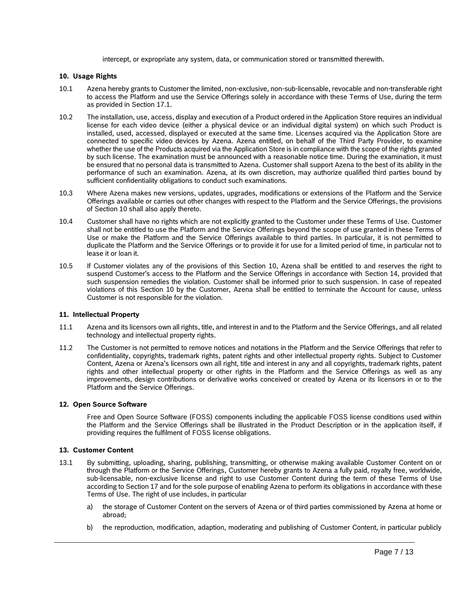intercept, or expropriate any system, data, or communication stored or transmitted therewith.

#### **10. Usage Rights**

- 10.1 Azena hereby grants to Customer the limited, non-exclusive, non-sub-licensable, revocable and non-transferable right to access the Platform and use the Service Offerings solely in accordance with these Terms of Use, during the term as provided in Section 17.1.
- 10.2 The installation, use, access, display and execution of a Product ordered in the Application Store requires an individual license for each video device (either a physical device or an individual digital system) on which such Product is installed, used, accessed, displayed or executed at the same time. Licenses acquired via the Application Store are connected to specific video devices by Azena. Azena entitled, on behalf of the Third Party Provider, to examine whether the use of the Products acquired via the Application Store is in compliance with the scope of the rights granted by such license. The examination must be announced with a reasonable notice time. During the examination, it must be ensured that no personal data is transmitted to Azena. Customer shall support Azena to the best of its ability in the performance of such an examination. Azena, at its own discretion, may authorize qualified third parties bound by sufficient confidentiality obligations to conduct such examinations.
- 10.3 Where Azena makes new versions, updates, upgrades, modifications or extensions of the Platform and the Service Offerings available or carries out other changes with respect to the Platform and the Service Offerings, the provisions of Section 10 shall also apply thereto.
- 10.4 Customer shall have no rights which are not explicitly granted to the Customer under these Terms of Use. Customer shall not be entitled to use the Platform and the Service Offerings beyond the scope of use granted in these Terms of Use or make the Platform and the Service Offerings available to third parties. In particular, it is not permitted to duplicate the Platform and the Service Offerings or to provide it for use for a limited period of time, in particular not to lease it or loan it.
- 10.5 If Customer violates any of the provisions of this Section 10, Azena shall be entitled to and reserves the right to suspend Customer's access to the Platform and the Service Offerings in accordance with Section 14, provided that such suspension remedies the violation. Customer shall be informed prior to such suspension. In case of repeated violations of this Section 10 by the Customer, Azena shall be entitled to terminate the Account for cause, unless Customer is not responsible for the violation.

#### **11. Intellectual Property**

- 11.1 Azena and its licensors own all rights, title, and interest in and to the Platform and the Service Offerings, and all related technology and intellectual property rights.
- 11.2 The Customer is not permitted to remove notices and notations in the Platform and the Service Offerings that refer to confidentiality, copyrights, trademark rights, patent rights and other intellectual property rights. Subject to Customer Content, Azena or Azena's licensors own all right, title and interest in any and all copyrights, trademark rights, patent rights and other intellectual property or other rights in the Platform and the Service Offerings as well as any improvements, design contributions or derivative works conceived or created by Azena or its licensors in or to the Platform and the Service Offerings.

#### **12. Open Source Software**

Free and Open Source Software (FOSS) components including the applicable FOSS license conditions used within the Platform and the Service Offerings shall be illustrated in the Product Description or in the application itself, if providing requires the fulfilment of FOSS license obligations.

#### **13. Customer Content**

- 13.1 By submitting, uploading, sharing, publishing, transmitting, or otherwise making available Customer Content on or through the Platform or the Service Offerings, Customer hereby grants to Azena a fully paid, royalty free, worldwide, sub-licensable, non-exclusive license and right to use Customer Content during the term of these Terms of Use according to Section 17 and for the sole purpose of enabling Azena to perform its obligations in accordance with these Terms of Use. The right of use includes, in particular
	- a) the storage of Customer Content on the servers of Azena or of third parties commissioned by Azena at home or abroad;
	- b) the reproduction, modification, adaption, moderating and publishing of Customer Content, in particular publicly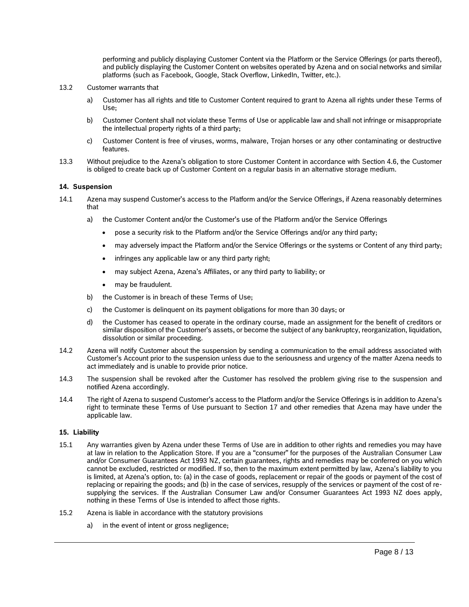performing and publicly displaying Customer Content via the Platform or the Service Offerings (or parts thereof), and publicly displaying the Customer Content on websites operated by Azena and on social networks and similar platforms (such as Facebook, Google, Stack Overflow, LinkedIn, Twitter, etc.).

- 13.2 Customer warrants that
	- a) Customer has all rights and title to Customer Content required to grant to Azena all rights under these Terms of Use;
	- b) Customer Content shall not violate these Terms of Use or applicable law and shall not infringe or misappropriate the intellectual property rights of a third party;
	- c) Customer Content is free of viruses, worms, malware, Trojan horses or any other contaminating or destructive features.
- <span id="page-7-1"></span>13.3 Without prejudice to the Azena's obligation to store Customer Content in accordance with Section [4.6,](#page-2-0) the Customer is obliged to create back up of Customer Content on a regular basis in an alternative storage medium.

#### **14. Suspension**

- 14.1 Azena may suspend Customer's access to the Platform and/or the Service Offerings, if Azena reasonably determines that
	- a) the Customer Content and/or the Customer's use of the Platform and/or the Service Offerings
		- pose a security risk to the Platform and/or the Service Offerings and/or any third party;
		- may adversely impact the Platform and/or the Service Offerings or the systems or Content of any third party;
		- infringes any applicable law or any third party right;
		- may subject Azena, Azena's Affiliates, or any third party to liability; or
		- may be fraudulent.
	- b) the Customer is in breach of these Terms of Use;
	- c) the Customer is delinquent on its payment obligations for more than 30 days; or
	- d) the Customer has ceased to operate in the ordinary course, made an assignment for the benefit of creditors or similar disposition of the Customer's assets, or become the subject of any bankruptcy, reorganization, liquidation, dissolution or similar proceeding.
- 14.2 Azena will notify Customer about the suspension by sending a communication to the email address associated with Customer's Account prior to the suspension unless due to the seriousness and urgency of the matter Azena needs to act immediately and is unable to provide prior notice.
- 14.3 The suspension shall be revoked after the Customer has resolved the problem giving rise to the suspension and notified Azena accordingly.
- 14.4 The right of Azena to suspend Customer's access to the Platform and/or the Service Offerings is in addition to Azena's right to terminate these Terms of Use pursuant to Section 17 and other remedies that Azena may have under the applicable law.

#### **15. Liability**

- <span id="page-7-0"></span>15.1 Any warranties given by Azena under these Terms of Use are in addition to other rights and remedies you may have at law in relation to the Application Store. If you are a "consumer" for the purposes of the Australian Consumer Law and/or Consumer Guarantees Act 1993 NZ, certain guarantees, rights and remedies may be conferred on you which cannot be excluded, restricted or modified. If so, then to the maximum extent permitted by law, Azena's liability to you is limited, at Azena's option, to: (a) in the case of goods, replacement or repair of the goods or payment of the cost of replacing or repairing the goods; and (b) in the case of services, resupply of the services or payment of the cost of resupplying the services. If the Australian Consumer Law and/or Consumer Guarantees Act 1993 NZ does apply, nothing in these Terms of Use is intended to affect those rights.
- 15.2 Azena is liable in accordance with the statutory provisions
	- a) in the event of intent or gross negligence;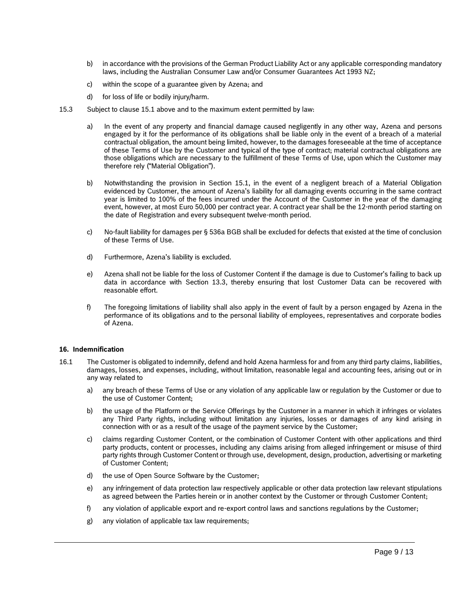- b) in accordance with the provisions of the German Product Liability Act or any applicable corresponding mandatory laws, including the Australian Consumer Law and/or Consumer Guarantees Act 1993 NZ;
- c) within the scope of a guarantee given by Azena; and
- d) for loss of life or bodily injury/harm.
- 15.3 Subject to clause 15.1 above and to the maximum extent permitted by law:
	- a) In the event of any property and financial damage caused negligently in any other way, Azena and persons engaged by it for the performance of its obligations shall be liable only in the event of a breach of a material contractual obligation, the amount being limited, however, to the damages foreseeable at the time of acceptance of these Terms of Use by the Customer and typical of the type of contract; material contractual obligations are those obligations which are necessary to the fulfillment of these Terms of Use, upon which the Customer may therefore rely ("Material Obligation").
	- b) Notwithstanding the provision in Section [15.1,](#page-7-0) in the event of a negligent breach of a Material Obligation evidenced by Customer, the amount of Azena's liability for all damaging events occurring in the same contract year is limited to 100% of the fees incurred under the Account of the Customer in the year of the damaging event, however, at most Euro 50,000 per contract year. A contract year shall be the 12-month period starting on the date of Registration and every subsequent twelve-month period.
	- c) No-fault liability for damages per § 536a BGB shall be excluded for defects that existed at the time of conclusion of these Terms of Use.
	- d) Furthermore, Azena's liability is excluded.
	- e) Azena shall not be liable for the loss of Customer Content if the damage is due to Customer's failing to back up data in accordance with Section [13.3,](#page-7-1) thereby ensuring that lost Customer Data can be recovered with reasonable effort.
	- f) The foregoing limitations of liability shall also apply in the event of fault by a person engaged by Azena in the performance of its obligations and to the personal liability of employees, representatives and corporate bodies of Azena.

#### **16. Indemnification**

- 16.1 The Customer is obligated to indemnify, defend and hold Azena harmless for and from any third party claims, liabilities, damages, losses, and expenses, including, without limitation, reasonable legal and accounting fees, arising out or in any way related to
	- a) any breach of these Terms of Use or any violation of any applicable law or regulation by the Customer or due to the use of Customer Content;
	- b) the usage of the Platform or the Service Offerings by the Customer in a manner in which it infringes or violates any Third Party rights, including without limitation any injuries, losses or damages of any kind arising in connection with or as a result of the usage of the payment service by the Customer;
	- c) claims regarding Customer Content, or the combination of Customer Content with other applications and third party products, content or processes, including any claims arising from alleged infringement or misuse of third party rights through Customer Content or through use, development, design, production, advertising or marketing of Customer Content;
	- d) the use of Open Source Software by the Customer;
	- e) any infringement of data protection law respectively applicable or other data protection law relevant stipulations as agreed between the Parties herein or in another context by the Customer or through Customer Content;
	- f) any violation of applicable export and re-export control laws and sanctions regulations by the Customer;
	- g) any violation of applicable tax law requirements;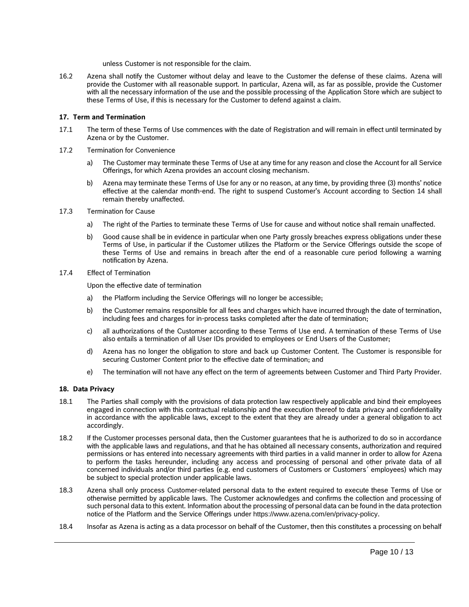unless Customer is not responsible for the claim.

16.2 Azena shall notify the Customer without delay and leave to the Customer the defense of these claims. Azena will provide the Customer with all reasonable support. In particular, Azena will, as far as possible, provide the Customer with all the necessary information of the use and the possible processing of the Application Store which are subject to these Terms of Use, if this is necessary for the Customer to defend against a claim.

### **17. Term and Termination**

- 17.1 The term of these Terms of Use commences with the date of Registration and will remain in effect until terminated by Azena or by the Customer.
- 17.2 Termination for Convenience
	- a) The Customer may terminate these Terms of Use at any time for any reason and close the Account for all Service Offerings, for which Azena provides an account closing mechanism.
	- b) Azena may terminate these Terms of Use for any or no reason, at any time, by providing three (3) months' notice effective at the calendar month-end. The right to suspend Customer's Account according to Section 14 shall remain thereby unaffected.
- 17.3 Termination for Cause
	- a) The right of the Parties to terminate these Terms of Use for cause and without notice shall remain unaffected.
	- b) Good cause shall be in evidence in particular when one Party grossly breaches express obligations under these Terms of Use, in particular if the Customer utilizes the Platform or the Service Offerings outside the scope of these Terms of Use and remains in breach after the end of a reasonable cure period following a warning notification by Azena.
- 17.4 Effect of Termination

Upon the effective date of termination

- a) the Platform including the Service Offerings will no longer be accessible;
- b) the Customer remains responsible for all fees and charges which have incurred through the date of termination, including fees and charges for in-process tasks completed after the date of termination;
- c) all authorizations of the Customer according to these Terms of Use end. A termination of these Terms of Use also entails a termination of all User IDs provided to employees or End Users of the Customer;
- d) Azena has no longer the obligation to store and back up Customer Content. The Customer is responsible for securing Customer Content prior to the effective date of termination; and
- e) The termination will not have any effect on the term of agreements between Customer and Third Party Provider.

# **18. Data Privacy**

- <span id="page-9-0"></span>18.1 The Parties shall comply with the provisions of data protection law respectively applicable and bind their employees engaged in connection with this contractual relationship and the execution thereof to data privacy and confidentiality in accordance with the applicable laws, except to the extent that they are already under a general obligation to act accordingly.
- 18.2 If the Customer processes personal data, then the Customer guarantees that he is authorized to do so in accordance with the applicable laws and regulations, and that he has obtained all necessary consents, authorization and required permissions or has entered into necessary agreements with third parties in a valid manner in order to allow for Azena to perform the tasks hereunder, including any access and processing of personal and other private data of all concerned individuals and/or third parties (e.g. end customers of Customers or Customers´ employees) which may be subject to special protection under applicable laws.
- 18.3 Azena shall only process Customer-related personal data to the extent required to execute these Terms of Use or otherwise permitted by applicable laws. The Customer acknowledges and confirms the collection and processing of such personal data to this extent. Information about the processing of personal data can be found in the data protection notice of the Platform and the Service Offerings under https://www.azena.com/en/privacy-policy.
- 18.4 Insofar as Azena is acting as a data processor on behalf of the Customer, then this constitutes a processing on behalf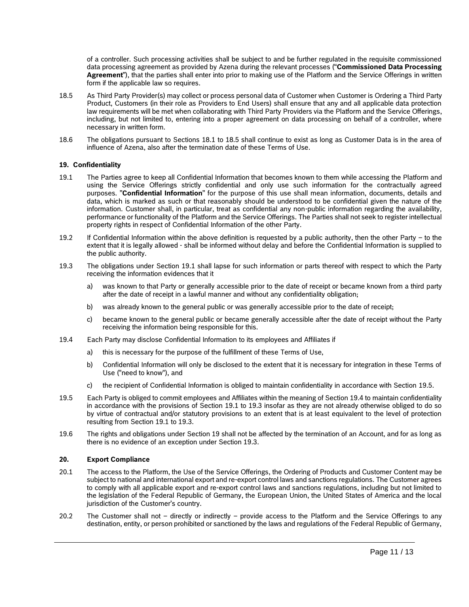of a controller. Such processing activities shall be subject to and be further regulated in the requisite commissioned data processing agreement as provided by Azena during the relevant processes ("**Commissioned Data Processing Agreement**"), that the parties shall enter into prior to making use of the Platform and the Service Offerings in written form if the applicable law so requires.

- <span id="page-10-0"></span>18.5 As Third Party Provider(s) may collect or process personal data of Customer when Customer is Ordering a Third Party Product, Customers (in their role as Providers to End Users) shall ensure that any and all applicable data protection law requirements will be met when collaborating with Third Party Providers via the Platform and the Service Offerings, including, but not limited to, entering into a proper agreement on data processing on behalf of a controller, where necessary in written form.
- 18.6 The obligations pursuant to Sections [18.1](#page-9-0) to [18.5](#page-10-0) shall continue to exist as long as Customer Data is in the area of influence of Azena, also after the termination date of these Terms of Use.

#### **19. Confidentiality**

- <span id="page-10-1"></span>19.1 The Parties agree to keep all Confidential Information that becomes known to them while accessing the Platform and using the Service Offerings strictly confidential and only use such information for the contractually agreed purposes. "**Confidential Information**" for the purpose of this use shall mean information, documents, details and data, which is marked as such or that reasonably should be understood to be confidential given the nature of the information. Customer shall, in particular, treat as confidential any non-public information regarding the availability, performance or functionality of the Platform and the Service Offerings. The Parties shall not seek to register intellectual property rights in respect of Confidential Information of the other Party.
- 19.2 If Confidential Information within the above definition is requested by a public authority, then the other Party to the extent that it is legally allowed - shall be informed without delay and before the Confidential Information is supplied to the public authority.
- <span id="page-10-4"></span>19.3 The obligations under Section [19.1](#page-10-1) shall lapse for such information or parts thereof with respect to which the Party receiving the information evidences that it
	- a) was known to that Party or generally accessible prior to the date of receipt or became known from a third party after the date of receipt in a lawful manner and without any confidentiality obligation;
	- b) was already known to the general public or was generally accessible prior to the date of receipt;
	- c) became known to the general public or became generally accessible after the date of receipt without the Party receiving the information being responsible for this.
- <span id="page-10-3"></span>19.4 Each Party may disclose Confidential Information to its employees and Affiliates if
	- a) this is necessary for the purpose of the fulfillment of these Terms of Use,
	- b) Confidential Information will only be disclosed to the extent that it is necessary for integration in these Terms of Use ("need to know"), and
	- c) the recipient of Confidential Information is obliged to maintain confidentiality in accordance with Section [19.5.](#page-10-2)
- <span id="page-10-2"></span>19.5 Each Party is obliged to commit employees and Affiliates within the meaning of Section [19.4](#page-10-3) to maintain confidentiality in accordance with the provisions of Section [19.1](#page-10-1) to [19.3](#page-10-4) insofar as they are not already otherwise obliged to do so by virtue of contractual and/or statutory provisions to an extent that is at least equivalent to the level of protection resulting from Section [19.1](#page-10-1) to [19.3.](#page-10-4)
- 19.6 The rights and obligations under Section 19 shall not be affected by the termination of an Account, and for as long as there is no evidence of an exception under Section 19.3.

#### **20. Export Compliance**

- 20.1 The access to the Platform, the Use of the Service Offerings, the Ordering of Products and Customer Content may be subject to national and international export and re-export control laws and sanctions regulations. The Customer agrees to comply with all applicable export and re-export control laws and sanctions regulations, including but not limited to the legislation of the Federal Republic of Germany, the European Union, the United States of America and the local jurisdiction of the Customer's country.
- 20.2 The Customer shall not directly or indirectly provide access to the Platform and the Service Offerings to any destination, entity, or person prohibited or sanctioned by the laws and regulations of the Federal Republic of Germany,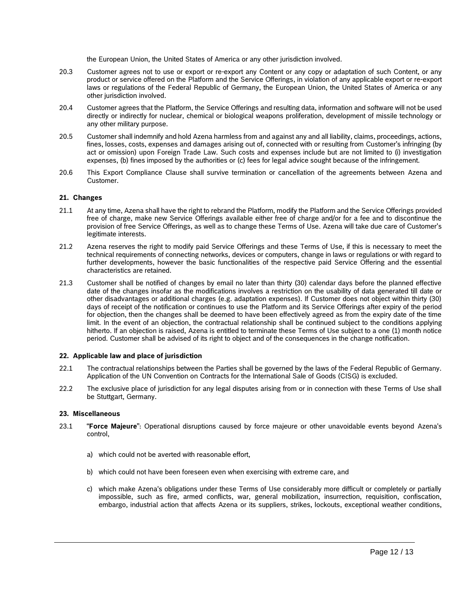the European Union, the United States of America or any other jurisdiction involved.

- 20.3 Customer agrees not to use or export or re-export any Content or any copy or adaptation of such Content, or any product or service offered on the Platform and the Service Offerings, in violation of any applicable export or re-export laws or regulations of the Federal Republic of Germany, the European Union, the United States of America or any other jurisdiction involved.
- 20.4 Customer agrees that the Platform, the Service Offerings and resulting data, information and software will not be used directly or indirectly for nuclear, chemical or biological weapons proliferation, development of missile technology or any other military purpose.
- 20.5 Customer shall indemnify and hold Azena harmless from and against any and all liability, claims, proceedings, actions, fines, losses, costs, expenses and damages arising out of, connected with or resulting from Customer's infringing (by act or omission) upon Foreign Trade Law. Such costs and expenses include but are not limited to (i) investigation expenses, (b) fines imposed by the authorities or (c) fees for legal advice sought because of the infringement.
- 20.6 This Export Compliance Clause shall survive termination or cancellation of the agreements between Azena and Customer.

# **21. Changes**

- 21.1 At any time, Azena shall have the right to rebrand the Platform, modify the Platform and the Service Offerings provided free of charge, make new Service Offerings available either free of charge and/or for a fee and to discontinue the provision of free Service Offerings, as well as to change these Terms of Use. Azena will take due care of Customer's legitimate interests.
- 21.2 Azena reserves the right to modify paid Service Offerings and these Terms of Use, if this is necessary to meet the technical requirements of connecting networks, devices or computers, change in laws or regulations or with regard to further developments, however the basic functionalities of the respective paid Service Offering and the essential characteristics are retained.
- 21.3 Customer shall be notified of changes by email no later than thirty (30) calendar days before the planned effective date of the changes insofar as the modifications involves a restriction on the usability of data generated till date or other disadvantages or additional charges (e.g. adaptation expenses). If Customer does not object within thirty (30) days of receipt of the notification or continues to use the Platform and its Service Offerings after expiry of the period for objection, then the changes shall be deemed to have been effectively agreed as from the expiry date of the time limit. In the event of an objection, the contractual relationship shall be continued subject to the conditions applying hitherto. If an objection is raised, Azena is entitled to terminate these Terms of Use subject to a one (1) month notice period. Customer shall be advised of its right to object and of the consequences in the change notification.

#### **22. Applicable law and place of jurisdiction**

- 22.1 The contractual relationships between the Parties shall be governed by the laws of the Federal Republic of Germany. Application of the UN Convention on Contracts for the International Sale of Goods (CISG) is excluded.
- 22.2 The exclusive place of jurisdiction for any legal disputes arising from or in connection with these Terms of Use shall be Stuttgart, Germany.

#### **23. Miscellaneous**

- 23.1 "**Force Majeure**": Operational disruptions caused by force majeure or other unavoidable events beyond Azena's control,
	- a) which could not be averted with reasonable effort,
	- b) which could not have been foreseen even when exercising with extreme care, and
	- c) which make Azena's obligations under these Terms of Use considerably more difficult or completely or partially impossible, such as fire, armed conflicts, war, general mobilization, insurrection, requisition, confiscation, embargo, industrial action that affects Azena or its suppliers, strikes, lockouts, exceptional weather conditions,